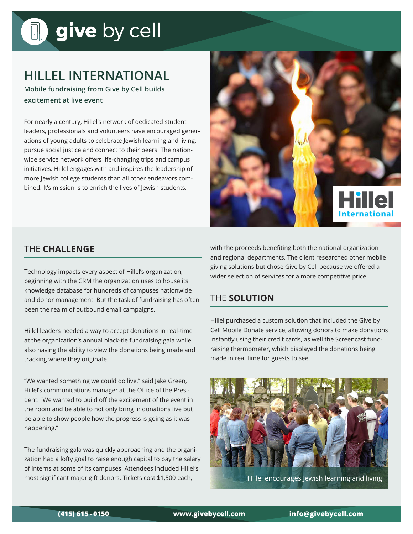# give by cell

### **HILLEL INTERNATIONAL**

**Mobile fundraising from Give by Cell builds excitement at live event**

For nearly a century, Hillel's network of dedicated student leaders, professionals and volunteers have encouraged generations of young adults to celebrate Jewish learning and living, pursue social justice and connect to their peers. The nationwide service network offers life-changing trips and campus initiatives. Hillel engages with and inspires the leadership of more Jewish college students than all other endeavors combined. It's mission is to enrich the lives of Jewish students.



#### THE **CHALLENGE**

Technology impacts every aspect of Hillel's organization, beginning with the CRM the organization uses to house its knowledge database for hundreds of campuses nationwide and donor management. But the task of fundraising has often been the realm of outbound email campaigns.

Hillel leaders needed a way to accept donations in real-time at the organization's annual black-tie fundraising gala while also having the ability to view the donations being made and tracking where they originate.

"We wanted something we could do live," said Jake Green, Hillel's communications manager at the Office of the President. "We wanted to build off the excitement of the event in the room and be able to not only bring in donations live but be able to show people how the progress is going as it was happening."

The fundraising gala was quickly approaching and the organization had a lofty goal to raise enough capital to pay the salary of interns at some of its campuses. Attendees included Hillel's most significant major gift donors. Tickets cost \$1,500 each,

with the proceeds benefiting both the national organization and regional departments. The client researched other mobile giving solutions but chose Give by Cell because we offered a wider selection of services for a more competitive price.

#### THE **SOLUTION**

Hillel purchased a custom solution that included the Give by Cell Mobile Donate service, allowing donors to make donations instantly using their credit cards, as well the Screencast fundraising thermometer, which displayed the donations being made in real time for guests to see.



Hillel encourages Jewish learning and living